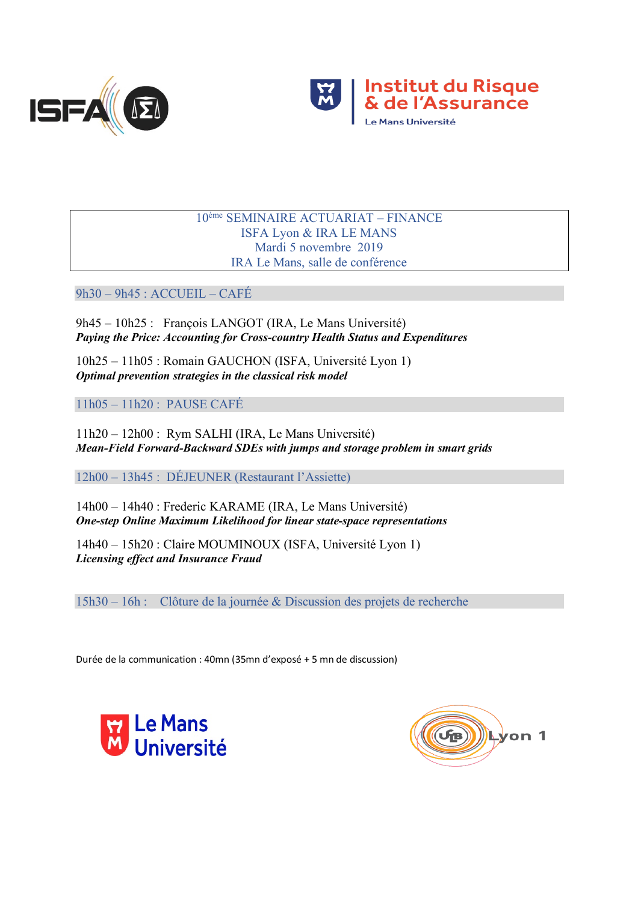



## 10ème SEMINAIRE ACTUARIAT – FINANCE ISFA Lyon & IRA LE MANS Mardi 5 novembre 2019 IRA Le Mans, salle de conférence

9h30 – 9h45 : ACCUEIL – CAFÉ

9h45 – 10h25 : François LANGOT (IRA, Le Mans Université) *Paying the Price: Accounting for Cross-country Health Status and Expenditures*

10h25 – 11h05 : Romain GAUCHON (ISFA, Université Lyon 1) *Optimal prevention strategies in the classical risk model*

11h05 – 11h20 : PAUSE CAFÉ

11h20 – 12h00 : Rym SALHI (IRA, Le Mans Université) *Mean-Field Forward-Backward SDEs with jumps and storage problem in smart grids*

12h00 – 13h45 : DÉJEUNER (Restaurant l'Assiette)

14h00 – 14h40 : Frederic KARAME (IRA, Le Mans Université) *One-step Online Maximum Likelihood for linear state-space representations*

14h40 – 15h20 : Claire MOUMINOUX (ISFA, Université Lyon 1) *Licensing effect and Insurance Fraud*

15h30 – 16h : Clôture de la journée & Discussion des projets de recherche

Durée de la communication : 40mn (35mn d'exposé + 5 mn de discussion)



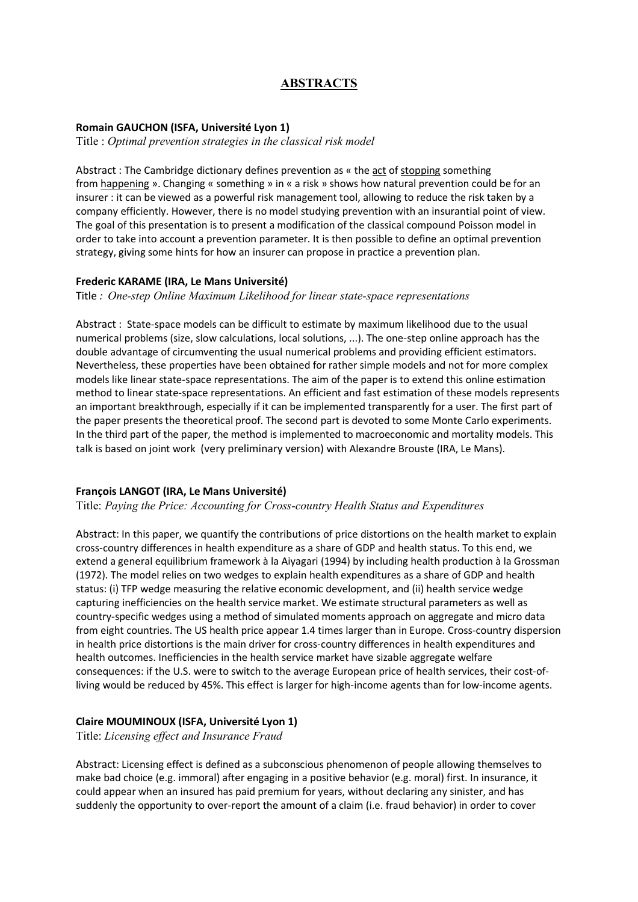# **ABSTRACTS**

### **Romain GAUCHON (ISFA, Université Lyon 1)**

Title : *Optimal prevention strategies in the classical risk model*

Abstract : The Cambridge dictionary defines prevention as « the act of stopping something from happening ». Changing « something » in « a risk » shows how natural prevention could be for an insurer : it can be viewed as a powerful risk management tool, allowing to reduce the risk taken by a company efficiently. However, there is no model studying prevention with an insurantial point of view. The goal of this presentation is to present a modification of the classical compound Poisson model in order to take into account a prevention parameter. It is then possible to define an optimal prevention strategy, giving some hints for how an insurer can propose in practice a prevention plan.

#### **Frederic KARAME (IRA, Le Mans Université)**

Title *: One-step Online Maximum Likelihood for linear state-space representations* 

Abstract : State-space models can be difficult to estimate by maximum likelihood due to the usual numerical problems (size, slow calculations, local solutions, ...). The one-step online approach has the double advantage of circumventing the usual numerical problems and providing efficient estimators. Nevertheless, these properties have been obtained for rather simple models and not for more complex models like linear state-space representations. The aim of the paper is to extend this online estimation method to linear state-space representations. An efficient and fast estimation of these models represents an important breakthrough, especially if it can be implemented transparently for a user. The first part of the paper presents the theoretical proof. The second part is devoted to some Monte Carlo experiments. In the third part of the paper, the method is implemented to macroeconomic and mortality models. This talk is based on joint work (very preliminary version) with Alexandre Brouste (IRA, Le Mans).

#### **François LANGOT (IRA, Le Mans Université)**

Title: *Paying the Price: Accounting for Cross-country Health Status and Expenditures*

Abstract: In this paper, we quantify the contributions of price distortions on the health market to explain cross-country differences in health expenditure as a share of GDP and health status. To this end, we extend a general equilibrium framework à la Aiyagari (1994) by including health production à la Grossman (1972). The model relies on two wedges to explain health expenditures as a share of GDP and health status: (i) TFP wedge measuring the relative economic development, and (ii) health service wedge capturing inefficiencies on the health service market. We estimate structural parameters as well as country-specific wedges using a method of simulated moments approach on aggregate and micro data from eight countries. The US health price appear 1.4 times larger than in Europe. Cross-country dispersion in health price distortions is the main driver for cross-country differences in health expenditures and health outcomes. Inefficiencies in the health service market have sizable aggregate welfare consequences: if the U.S. were to switch to the average European price of health services, their cost-ofliving would be reduced by 45%. This effect is larger for high-income agents than for low-income agents.

## **Claire MOUMINOUX (ISFA, Université Lyon 1)**

Title: *Licensing effect and Insurance Fraud*

Abstract: Licensing effect is defined as a subconscious phenomenon of people allowing themselves to make bad choice (e.g. immoral) after engaging in a positive behavior (e.g. moral) first. In insurance, it could appear when an insured has paid premium for years, without declaring any sinister, and has suddenly the opportunity to over-report the amount of a claim (i.e. fraud behavior) in order to cover